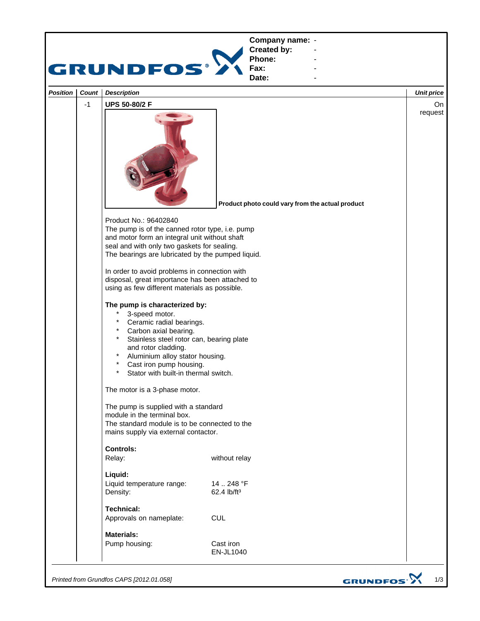

*Printed from Grundfos CAPS [2012.01.058]*

GRUNDFOS<sup>.</sup>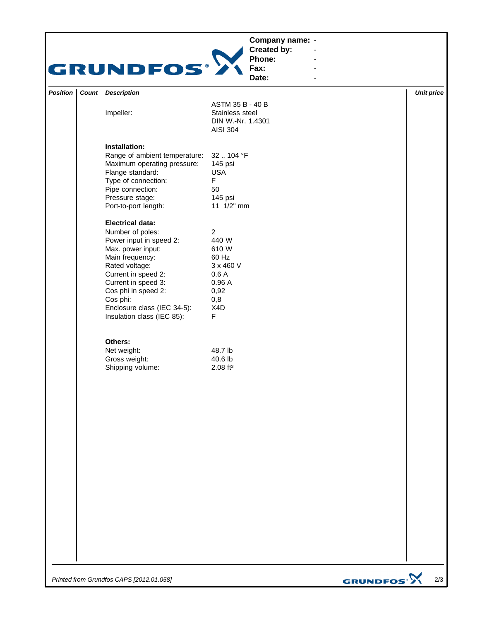## **Company name: -** Construction of the construction



**Created by: Phone: Fax:**

**Date: -** Andrew March 2014 **-** Construction of the construction

**-** Andrew March 2014 **-** Andrew March 2014

| <b>Position</b> | Count   Description                                                                                                                                                                                                                                                            |                                                                                                              | <b>Unit price</b> |
|-----------------|--------------------------------------------------------------------------------------------------------------------------------------------------------------------------------------------------------------------------------------------------------------------------------|--------------------------------------------------------------------------------------------------------------|-------------------|
|                 | Impeller:                                                                                                                                                                                                                                                                      | ASTM 35 B - 40 B<br>Stainless steel<br>DIN W.-Nr. 1.4301<br><b>AISI 304</b>                                  |                   |
|                 | Installation:<br>Range of ambient temperature:<br>Maximum operating pressure:<br>Flange standard:<br>Type of connection:<br>Pipe connection:<br>Pressure stage:<br>Port-to-port length:                                                                                        | 32  104 °F<br>145 psi<br><b>USA</b><br>$\mathsf F$<br>50<br>145 psi<br>11 1/2" mm                            |                   |
|                 | <b>Electrical data:</b><br>Number of poles:<br>Power input in speed 2:<br>Max. power input:<br>Main frequency:<br>Rated voltage:<br>Current in speed 2:<br>Current in speed 3:<br>Cos phi in speed 2:<br>Cos phi:<br>Enclosure class (IEC 34-5):<br>Insulation class (IEC 85): | $\overline{2}$<br>440 W<br>610 W<br>60 Hz<br>3 x 460 V<br>0.6A<br>0.96A<br>0,92<br>0,8<br>X4D<br>$\mathsf F$ |                   |
|                 | Others:<br>Net weight:<br>Gross weight:<br>Shipping volume:                                                                                                                                                                                                                    | 48.7 lb<br>40.6 lb<br>$2.08$ ft <sup>3</sup>                                                                 |                   |
|                 |                                                                                                                                                                                                                                                                                |                                                                                                              |                   |
|                 |                                                                                                                                                                                                                                                                                |                                                                                                              |                   |